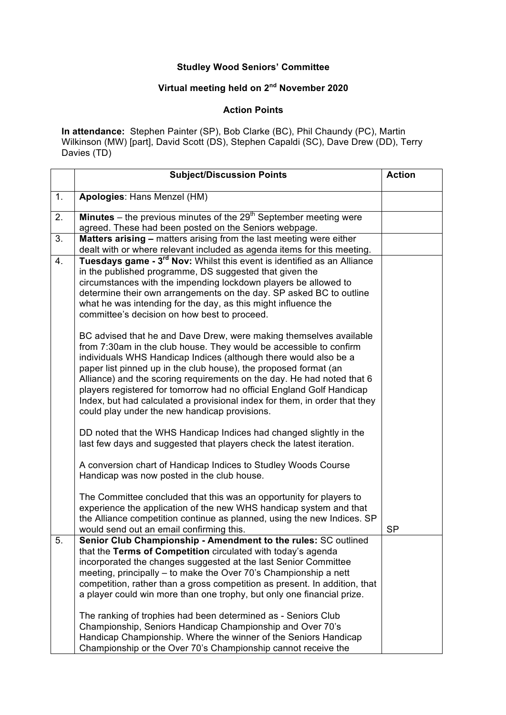## **Studley Wood Seniors' Committee**

## **Virtual meeting held on 2nd November 2020**

## **Action Points**

**In attendance:** Stephen Painter (SP), Bob Clarke (BC), Phil Chaundy (PC), Martin Wilkinson (MW) [part], David Scott (DS), Stephen Capaldi (SC), Dave Drew (DD), Terry Davies (TD)

|    | <b>Subject/Discussion Points</b>                                                                                                                                                                                                                                                                                                                                                                                                                                                                                                                                                                                                                                                                | <b>Action</b> |
|----|-------------------------------------------------------------------------------------------------------------------------------------------------------------------------------------------------------------------------------------------------------------------------------------------------------------------------------------------------------------------------------------------------------------------------------------------------------------------------------------------------------------------------------------------------------------------------------------------------------------------------------------------------------------------------------------------------|---------------|
| 1. | Apologies: Hans Menzel (HM)                                                                                                                                                                                                                                                                                                                                                                                                                                                                                                                                                                                                                                                                     |               |
| 2. | <b>Minutes</b> – the previous minutes of the $29th$ September meeting were<br>agreed. These had been posted on the Seniors webpage.                                                                                                                                                                                                                                                                                                                                                                                                                                                                                                                                                             |               |
| 3. | Matters arising - matters arising from the last meeting were either<br>dealt with or where relevant included as agenda items for this meeting.                                                                                                                                                                                                                                                                                                                                                                                                                                                                                                                                                  |               |
| 4. | Tuesdays game - 3 <sup>rd</sup> Nov: Whilst this event is identified as an Alliance<br>in the published programme, DS suggested that given the<br>circumstances with the impending lockdown players be allowed to<br>determine their own arrangements on the day. SP asked BC to outline<br>what he was intending for the day, as this might influence the<br>committee's decision on how best to proceed.                                                                                                                                                                                                                                                                                      |               |
|    | BC advised that he and Dave Drew, were making themselves available<br>from 7:30am in the club house. They would be accessible to confirm<br>individuals WHS Handicap Indices (although there would also be a<br>paper list pinned up in the club house), the proposed format (an<br>Alliance) and the scoring requirements on the day. He had noted that 6<br>players registered for tomorrow had no official England Golf Handicap<br>Index, but had calculated a provisional index for them, in order that they<br>could play under the new handicap provisions.                                                                                                                              |               |
|    | DD noted that the WHS Handicap Indices had changed slightly in the<br>last few days and suggested that players check the latest iteration.                                                                                                                                                                                                                                                                                                                                                                                                                                                                                                                                                      |               |
|    | A conversion chart of Handicap Indices to Studley Woods Course<br>Handicap was now posted in the club house.                                                                                                                                                                                                                                                                                                                                                                                                                                                                                                                                                                                    |               |
|    | The Committee concluded that this was an opportunity for players to<br>experience the application of the new WHS handicap system and that<br>the Alliance competition continue as planned, using the new Indices. SP<br>would send out an email confirming this.                                                                                                                                                                                                                                                                                                                                                                                                                                | <b>SP</b>     |
| 5. | Senior Club Championship - Amendment to the rules: SC outlined<br>that the Terms of Competition circulated with today's agenda<br>incorporated the changes suggested at the last Senior Committee<br>meeting, principally – to make the Over 70's Championship a nett<br>competition, rather than a gross competition as present. In addition, that<br>a player could win more than one trophy, but only one financial prize.<br>The ranking of trophies had been determined as - Seniors Club<br>Championship, Seniors Handicap Championship and Over 70's<br>Handicap Championship. Where the winner of the Seniors Handicap<br>Championship or the Over 70's Championship cannot receive the |               |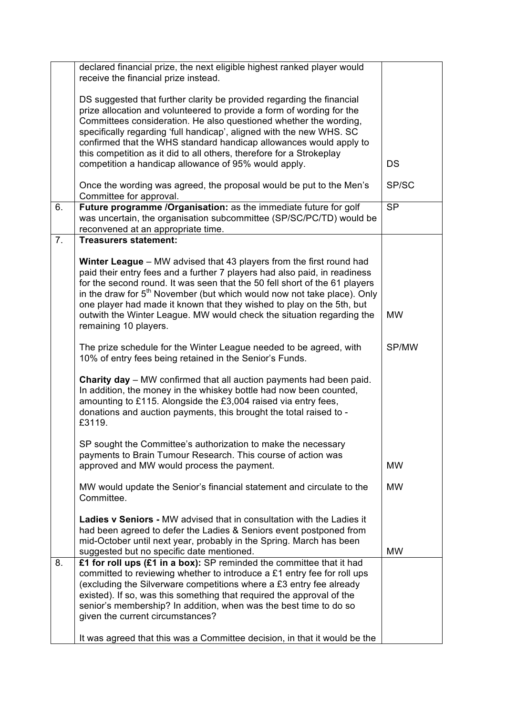|    | declared financial prize, the next eligible highest ranked player would<br>receive the financial prize instead.                                                                                                                                                                                                                                                                                                                                                                        |                        |
|----|----------------------------------------------------------------------------------------------------------------------------------------------------------------------------------------------------------------------------------------------------------------------------------------------------------------------------------------------------------------------------------------------------------------------------------------------------------------------------------------|------------------------|
|    | DS suggested that further clarity be provided regarding the financial<br>prize allocation and volunteered to provide a form of wording for the<br>Committees consideration. He also questioned whether the wording,<br>specifically regarding 'full handicap', aligned with the new WHS. SC<br>confirmed that the WHS standard handicap allowances would apply to                                                                                                                      |                        |
|    | this competition as it did to all others, therefore for a Strokeplay<br>competition a handicap allowance of 95% would apply.                                                                                                                                                                                                                                                                                                                                                           | <b>DS</b>              |
|    | Once the wording was agreed, the proposal would be put to the Men's<br>Committee for approval.                                                                                                                                                                                                                                                                                                                                                                                         | SP/SC                  |
| 6. | Future programme /Organisation: as the immediate future for golf<br>was uncertain, the organisation subcommittee (SP/SC/PC/TD) would be<br>reconvened at an appropriate time.                                                                                                                                                                                                                                                                                                          | $\overline{\text{SP}}$ |
| 7. | <b>Treasurers statement:</b>                                                                                                                                                                                                                                                                                                                                                                                                                                                           |                        |
|    | Winter League - MW advised that 43 players from the first round had<br>paid their entry fees and a further 7 players had also paid, in readiness<br>for the second round. It was seen that the 50 fell short of the 61 players<br>in the draw for $5th$ November (but which would now not take place). Only<br>one player had made it known that they wished to play on the 5th, but<br>outwith the Winter League. MW would check the situation regarding the<br>remaining 10 players. | <b>MW</b>              |
|    | The prize schedule for the Winter League needed to be agreed, with<br>10% of entry fees being retained in the Senior's Funds.                                                                                                                                                                                                                                                                                                                                                          | SP/MW                  |
|    | <b>Charity day</b> – MW confirmed that all auction payments had been paid.<br>In addition, the money in the whiskey bottle had now been counted,<br>amounting to £115. Alongside the £3,004 raised via entry fees,<br>donations and auction payments, this brought the total raised to -<br>£3119.                                                                                                                                                                                     |                        |
|    | SP sought the Committee's authorization to make the necessary<br>payments to Brain Tumour Research. This course of action was<br>approved and MW would process the payment.                                                                                                                                                                                                                                                                                                            | <b>MW</b>              |
|    | MW would update the Senior's financial statement and circulate to the<br>Committee.                                                                                                                                                                                                                                                                                                                                                                                                    | <b>MW</b>              |
|    | <b>Ladies v Seniors - MW advised that in consultation with the Ladies it</b><br>had been agreed to defer the Ladies & Seniors event postponed from<br>mid-October until next year, probably in the Spring. March has been<br>suggested but no specific date mentioned.                                                                                                                                                                                                                 | <b>MW</b>              |
| 8. | £1 for roll ups (£1 in a box): SP reminded the committee that it had<br>committed to reviewing whether to introduce a £1 entry fee for roll ups<br>(excluding the Silverware competitions where a £3 entry fee already<br>existed). If so, was this something that required the approval of the<br>senior's membership? In addition, when was the best time to do so<br>given the current circumstances?                                                                               |                        |
|    | It was agreed that this was a Committee decision, in that it would be the                                                                                                                                                                                                                                                                                                                                                                                                              |                        |